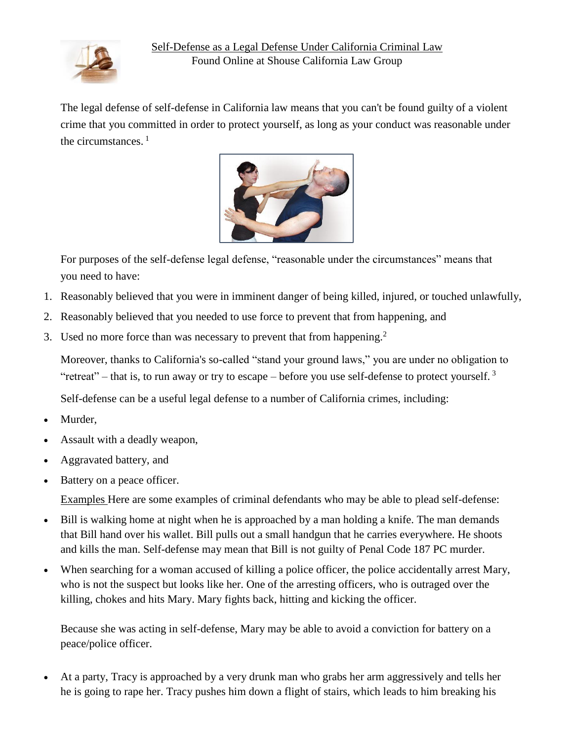

The [legal defense](http://www.shouselaw.com/legal-defenses.html) of self-defense in California law means that you can't be found guilty of a [violent](http://www.shouselaw.com/violent-crimes.html)  [crime](http://www.shouselaw.com/violent-crimes.html) that you committed in order to protect yourself, as long as your conduct was reasonable under the circumstances.  $1$ 



For purposes of the self-defense legal defense, "reasonable under the circumstances" means that you need to have:

- 1. Reasonably believed that you were in imminent danger of being killed, injured, or touched unlawfully,
- 2. Reasonably believed that you needed to use force to prevent that from happening, and
- 3. Used no more force than was necessary to prevent that from happening.<sup>2</sup>

Moreover, thanks to California's so-called "stand your ground laws," you are under no obligation to "retreat" – that is, to run away or try to escape – before you use self-defense to protect yourself.  $3$ 

Self-defense can be a useful legal defense to a number of California crimes, including:

- Murder,
- Assault with a deadly weapon,
- Aggravated battery, and
- Battery on a peace officer.

Examples Here are some examples of criminal defendants who may be able to plead self-defense:

- Bill is walking home at night when he is approached by a man holding a knife. The man demands that Bill hand over his wallet. Bill pulls out a small handgun that he carries everywhere. He shoots and kills the man. Self-defense may mean that Bill is not guilty of Penal Code 187 PC [murder.](http://www.shouselaw.com/murder.html)
- When searching for a woman accused of killing a police officer, the police accidentally arrest Mary, who is not the suspect but looks like her. One of the arresting officers, who is outraged over the killing, chokes and hits Mary. Mary fights back, hitting and kicking the officer.

Because she was acting in self-defense, Mary may be able to avoid a conviction for [battery](http://www.shouselaw.com/battery-po.html) on a [peace/police](http://www.shouselaw.com/battery-po.html) officer.

 At a party, Tracy is approached by a very drunk man who grabs her arm aggressively and tells her he is going to rape her. Tracy pushes him down a flight of stairs, which leads to him breaking his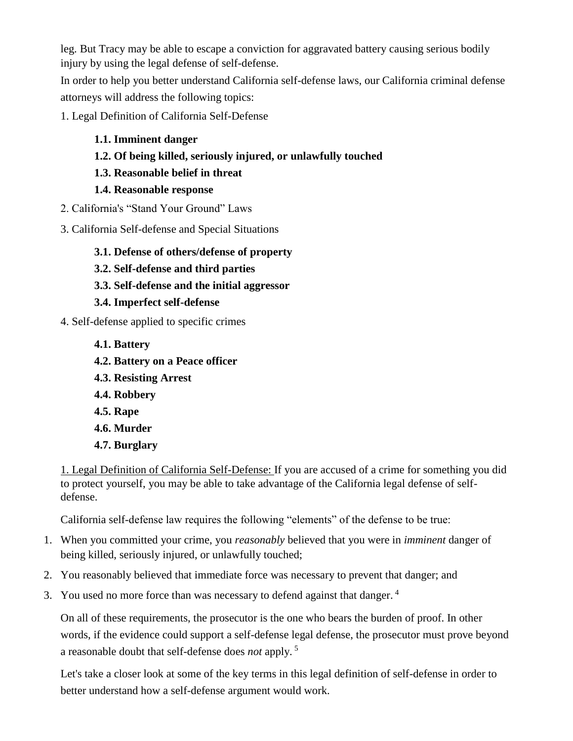leg. But Tracy may be able to escape a conviction for [aggravated](http://www.shouselaw.com/243d.html) battery causing serious bodily [injury](http://www.shouselaw.com/243d.html) by using the legal defense of self-defense.

In order to help you better understand California self-defense laws, our California criminal defense attorneys will address the following topics:

[1. Legal Definition of California Self-Defense](http://www.shouselaw.com/self-defense.html#1)

# **[1.1. Imminent danger](http://www.shouselaw.com/self-defense.html#1.1)**

- **[1.2. Of being killed, seriously injured, or](http://www.shouselaw.com/self-defense.html#1.2) unlawfully touched**
- **[1.3. Reasonable belief in threat](http://www.shouselaw.com/self-defense.html#1.3)**

### **[1.4. Reasonable response](http://www.shouselaw.com/self-defense.html#1.4)**

- [2. California's "Stand Your Ground" Laws](http://www.shouselaw.com/self-defense.html#2)
- [3. California Self-defense and](http://www.shouselaw.com/self-defense.html#3) Special Situations
	- **[3.1. Defense of others/defense of property](http://www.shouselaw.com/self-defense.html#3.1)**
	- **[3.2. Self-defense and third parties](http://www.shouselaw.com/self-defense.html#3.2)**
	- **[3.3. Self-defense and the initial aggressor](http://www.shouselaw.com/self-defense.html#3.3)**

## **[3.4. Imperfect self-defense](http://www.shouselaw.com/self-defense.html#3.4)**

- [4. Self-defense applied to specific crimes](http://www.shouselaw.com/self-defense.html#4)
	- **[4.1. Battery](http://www.shouselaw.com/self-defense.html#4.1)**
	- **[4.2. Battery on a Peace officer](http://www.shouselaw.com/self-defense.html#4.2)**
	- **[4.3. Resisting Arrest](http://www.shouselaw.com/self-defense.html#4.3)**
	- **[4.4. Robbery](http://www.shouselaw.com/self-defense.html#4.4)**
	- **[4.5. Rape](http://www.shouselaw.com/self-defense.html#4.5)**
	- **[4.6. Murder](http://www.shouselaw.com/self-defense.html#4.6)**
	- **[4.7. Burglary](http://www.shouselaw.com/self-defense.html#4.7)**

1. Legal Definition of California Self-Defense: If you are accused of a crime for something you did to protect yourself, you may be able to take advantage of the California legal defense of selfdefense.

California self-defense law requires the following "elements" of the defense to be true:

- 1. When you committed your crime, you *reasonably* believed that you were in *imminent* danger of being killed, seriously injured, or unlawfully touched;
- 2. You reasonably believed that immediate force was necessary to prevent that danger; and
- 3. You used no more force than was necessary to defend against that danger. <sup>4</sup>

On all of these requirements, the prosecutor is the one who bears the burden of proof. In other words, if the evidence could support a self-defense legal defense, the prosecutor must prove beyond a reasonable doubt that self-defense does *not* apply. <sup>5</sup>

Let's take a closer look at some of the key terms in this legal definition of self-defense in order to better understand how a self-defense argument would work.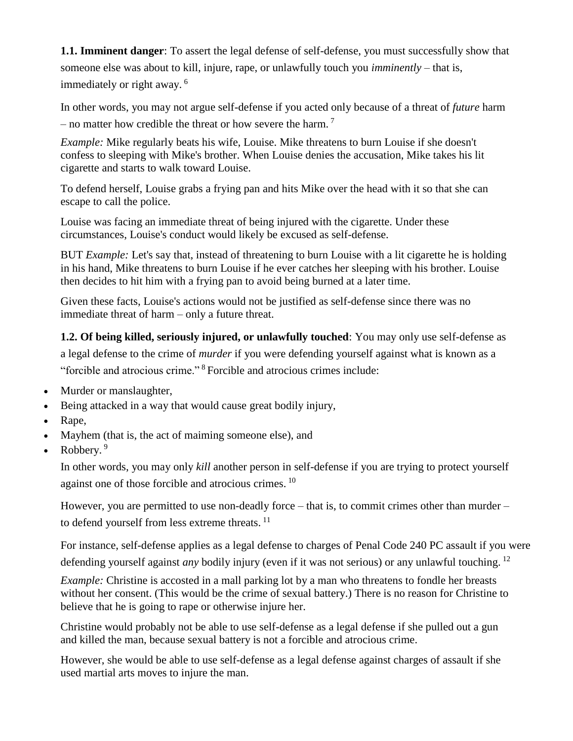**1.1. Imminent danger**: To assert the legal defense of self-defense, you must successfully show that someone else was about to kill, injure, rape, or unlawfully touch you *imminently* – that is, immediately or right away. <sup>6</sup>

In other words, you may not argue self-defense if you acted only because of a threat of *future* harm – no matter how credible the threat or how severe the harm.<sup>7</sup>

*Example:* Mike regularly beats his wife, Louise. Mike threatens to burn Louise if she doesn't confess to sleeping with Mike's brother. When Louise denies the accusation, Mike takes his lit cigarette and starts to walk toward Louise.

To defend herself, Louise grabs a frying pan and hits Mike over the head with it so that she can escape to call the police.

Louise was facing an immediate threat of being injured with the cigarette. Under these circumstances, Louise's conduct would likely be excused as self-defense.

BUT *Example:* Let's say that, instead of threatening to burn Louise with a lit cigarette he is holding in his hand, Mike threatens to burn Louise if he ever catches her sleeping with his brother. Louise then decides to hit him with a frying pan to avoid being burned at a later time.

Given these facts, Louise's actions would not be justified as self-defense since there was no immediate threat of harm – only a future threat.

**1.2. Of being killed, seriously injured, or unlawfully touched**: You may only use self-defense as a legal defense to the crime of *murder* if you were defending yourself against what is known as a "forcible and atrocious crime." <sup>8</sup>Forcible and atrocious crimes include:

- Murder or manslaughter,
- Being attacked in a way that would cause great [bodily](http://www.shouselaw.com/gbi.html) injury,
- Rape,
- [Mayhem](http://www.shouselaw.com/mayhem.html) (that is, the act of maiming someone else), and
- Robbery. <sup>9</sup>

In other words, you may only *kill* another person in self-defense if you are trying to protect yourself against one of those forcible and atrocious crimes. <sup>10</sup>

However, you are permitted to use non-deadly force – that is, to commit crimes other than murder – to defend yourself from less extreme threats.<sup>11</sup>

For instance, self-defense applies as a legal defense to charges of [Penal Code 240 PC assault](http://www.shouselaw.com/assault.html) if you were defending yourself against *any* bodily injury (even if it was not serious) or any unlawful touching. <sup>12</sup>

*Example:* Christine is accosted in a mall parking lot by a man who threatens to fondle her breasts without her consent. (This would be the crime of [sexual battery.](http://www.shouselaw.com/sexual_battery.html)) There is no reason for Christine to believe that he is going to rape or otherwise injure her.

Christine would probably not be able to use self-defense as a legal defense if she pulled out a gun and killed the man, because sexual battery is not a forcible and atrocious crime.

However, she would be able to use self-defense as a legal defense against charges of assault if she used martial arts moves to injure the man.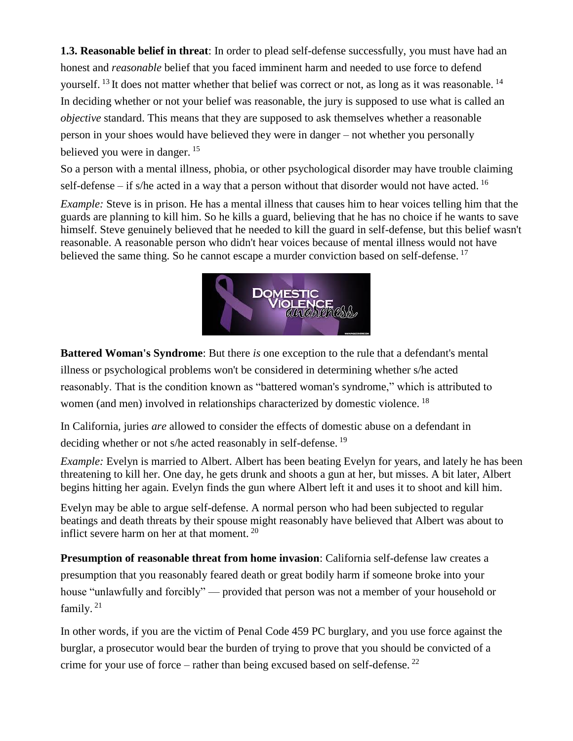**1.3. Reasonable belief in threat**: In order to plead self-defense successfully, you must have had an honest and *reasonable* belief that you faced imminent harm and needed to use force to defend yourself.  $^{13}$  It does not matter whether that belief was correct or not, as long as it was reasonable.  $^{14}$ In deciding whether or not your belief was reasonable, the jury is supposed to use what is called an *objective* standard. This means that they are supposed to ask themselves whether a reasonable person in your shoes would have believed they were in danger – not whether you personally believed you were in danger.<sup>15</sup>

So a person with a mental illness, phobia, or other psychological disorder may have trouble claiming self-defense – if s/he acted in a way that a person without that disorder would not have acted.  $16$ 

*Example:* Steve is in prison. He has a mental illness that causes him to hear voices telling him that the guards are planning to kill him. So he kills a guard, believing that he has no choice if he wants to save himself. Steve genuinely believed that he needed to kill the guard in self-defense, but this belief wasn't reasonable. A reasonable person who didn't hear voices because of mental illness would not have believed the same thing. So he cannot escape a murder conviction based on self-defense.<sup>17</sup>



**Battered Woman's Syndrome**: But there *is* one exception to the rule that a defendant's mental illness or psychological problems won't be considered in determining whether s/he acted reasonably. That is the condition known as ["battered woman's syndrome,](http://www.rainn.org/get-information/effects-of-sexual-assault/battered-woman-syndrome)" which is attributed to women (and men) involved in relationships characterized by domestic violence.<sup>18</sup>

In California, juries *are* allowed to consider the effects of [domestic abuse](http://www.shouselaw.com/domestic_abuse.html) on a defendant in deciding whether or not s/he acted reasonably in self-defense.<sup>19</sup>

*Example:* Evelyn is married to Albert. Albert has been beating Evelyn for years, and lately he has been threatening to kill her. One day, he gets drunk and shoots a gun at her, but misses. A bit later, Albert begins hitting her again. Evelyn finds the gun where Albert left it and uses it to shoot and kill him.

Evelyn may be able to argue self-defense. A normal person who had been subjected to regular beatings and death threats by their spouse might reasonably have believed that Albert was about to inflict severe harm on her at that moment.<sup>20</sup>

**Presumption of reasonable threat from home invasion**: California self-defense law creates a presumption that you reasonably feared death or great bodily harm if someone broke into your house "unlawfully and forcibly" — provided that person was not a member of your household or family.<sup>21</sup>

In other words, if you are the victim of Penal Code 459 PC burglary, and you use force against the burglar, a prosecutor would bear the burden of trying to prove that you should be convicted of a crime for your use of force – rather than being excused based on self-defense.  $^{22}$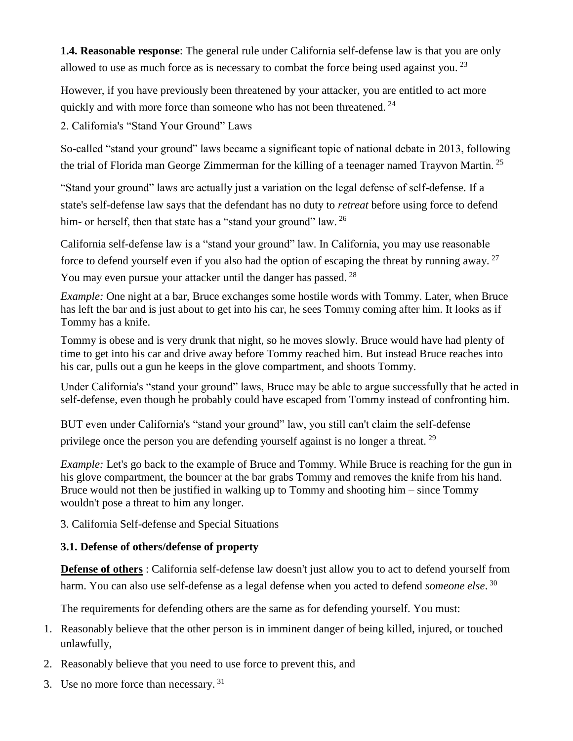**1.4. Reasonable response**: The general rule under California self-defense law is that you are only allowed to use as much force as is necessary to combat the force being used against you.<sup>23</sup>

However, if you have previously been threatened by your attacker, you are entitled to act more quickly and with more force than someone who has not been threatened. <sup>24</sup>

2. California's "Stand Your Ground" Laws

So-called "stand your ground" laws became a significant topic of national debate in 2013, following the [trial of Florida man George Zimmerman](http://en.wikipedia.org/wiki/George_Zimmerman) for the killing of a teenager named Trayvon Martin.<sup>25</sup>

"Stand your ground" laws are actually just a variation on the legal defense of self-defense. If a state's self-defense law says that the defendant has no duty to *retreat* before using force to defend him- or herself, then that state has a "stand your ground" law. <sup>26</sup>

California self-defense law is a "stand your ground" law. In California, you may use reasonable force to defend yourself even if you also had the option of escaping the threat by running away. <sup>27</sup> You may even pursue your attacker until the danger has passed.<sup>28</sup>

*Example:* One night at a bar, Bruce exchanges some hostile words with Tommy. Later, when Bruce has left the bar and is just about to get into his car, he sees Tommy coming after him. It looks as if Tommy has a knife.

Tommy is obese and is very drunk that night, so he moves slowly. Bruce would have had plenty of time to get into his car and drive away before Tommy reached him. But instead Bruce reaches into his car, pulls out a gun he keeps in the glove compartment, and shoots Tommy.

Under California's "stand your ground" laws, Bruce may be able to argue successfully that he acted in self-defense, even though he probably could have escaped from Tommy instead of confronting him.

BUT even under California's "stand your ground" law, you still can't claim the self-defense privilege once the person you are defending yourself against is no longer a threat.<sup>29</sup>

*Example:* Let's go back to the example of Bruce and Tommy. While Bruce is reaching for the gun in his glove compartment, the bouncer at the bar grabs Tommy and removes the knife from his hand. Bruce would not then be justified in walking up to Tommy and shooting him – since Tommy wouldn't pose a threat to him any longer.

3. California Self-defense and Special Situations

### **3.1. Defense of others/defense of property**

**Defense of others** : California self-defense law doesn't just allow you to act to defend yourself from harm. You can also use self-defense as a legal defense when you acted to defend *someone else*. 30

The requirements for defending others are the same as for defending yourself. You must:

- 1. Reasonably believe that the other person is in imminent danger of being killed, injured, or touched unlawfully,
- 2. Reasonably believe that you need to use force to prevent this, and
- 3. Use no more force than necessary. <sup>31</sup>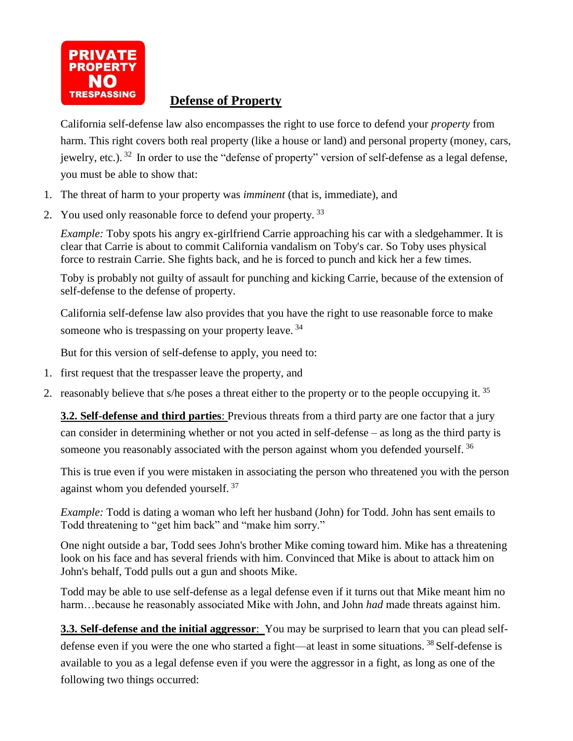

# **Defense of Property**

California self-defense law also encompasses the right to use force to defend your *property* from harm. This right covers both real property (like a house or land) and personal property (money, cars, iewelry, etc.). <sup>32</sup> In order to use the "defense of property" version of self-defense as a legal defense, you must be able to show that:

- 1. The threat of harm to your property was *imminent* (that is, immediate), and
- 2. You used only reasonable force to defend your property.<sup>33</sup>

*Example:* Toby spots his angry ex-girlfriend Carrie approaching his car with a sledgehammer. It is clear that Carrie is about to commit [California vandalism](http://www.shouselaw.com/vandalism.html) on Toby's car. So Toby uses physical force to restrain Carrie. She fights back, and he is forced to punch and kick her a few times.

Toby is probably not guilty of assault for punching and kicking Carrie, because of the extension of self-defense to the defense of property.

California self-defense law also provides that you have the right to use reasonable force to make someone who is [trespassing](http://www.shouselaw.com/trespass.html) on your property leave.<sup>34</sup>

But for this version of self-defense to apply, you need to:

- 1. first request that the trespasser leave the property, and
- 2. reasonably believe that s/he poses a threat either to the property or to the people occupying it.<sup>35</sup>

**3.2. Self-defense and third parties**: Previous threats from a third party are one factor that a jury can consider in determining whether or not you acted in self-defense – as long as the third party is someone you reasonably associated with the person against whom you defended yourself.<sup>36</sup>

This is true even if you were mistaken in associating the person who threatened you with the person against whom you defended yourself.<sup>37</sup>

*Example:* Todd is dating a woman who left her husband (John) for Todd. John has sent emails to Todd threatening to "get him back" and "make him sorry."

One night outside a bar, Todd sees John's brother Mike coming toward him. Mike has a threatening look on his face and has several friends with him. Convinced that Mike is about to attack him on John's behalf, Todd pulls out a gun and shoots Mike.

Todd may be able to use self-defense as a legal defense even if it turns out that Mike meant him no harm…because he reasonably associated Mike with John, and John *had* made threats against him.

**3.3. Self-defense and the initial aggressor**: You may be surprised to learn that you can plead selfdefense even if you were the one who started a fight—at least in some situations.<sup>38</sup> Self-defense is available to you as a legal defense even if you were the aggressor in a fight, as long as one of the following two things occurred: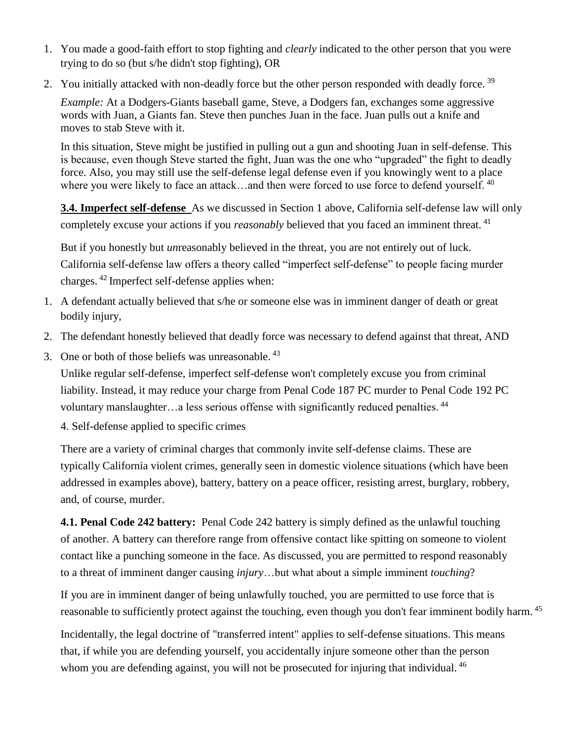- 1. You made a good-faith effort to stop fighting and *clearly* indicated to the other person that you were trying to do so (but s/he didn't stop fighting), OR
- 2. You initially attacked with non-deadly force but the other person responded with deadly force.<sup>39</sup>

*Example:* At a Dodgers-Giants baseball game, Steve, a Dodgers fan, exchanges some aggressive words with Juan, a Giants fan. Steve then punches Juan in the face. Juan pulls out a knife and moves to stab Steve with it.

In this situation, Steve might be justified in pulling out a gun and shooting Juan in self-defense. This is because, even though Steve started the fight, Juan was the one who "upgraded" the fight to deadly force. Also, you may still use the self-defense legal defense even if you knowingly went to a place where you were likely to face an attack...and then were forced to use force to defend yourself.  $40$ 

**3.4. Imperfect self-defense** As we discussed in Section 1 above, California self-defense law will only completely excuse your actions if you *reasonably* believed that you faced an imminent threat.<sup>41</sup>

But if you honestly but *un*reasonably believed in the threat, you are not entirely out of luck. California self-defense law offers a theory called "imperfect self-defense" to people facing murder charges.  $42$  Imperfect self-defense applies when:

- 1. A defendant actually believed that s/he or someone else was in imminent danger of death or great bodily injury,
- 2. The defendant honestly believed that deadly force was necessary to defend against that threat, AND
- 3. One or both of those beliefs was unreasonable. <sup>43</sup>

Unlike regular self-defense, imperfect self-defense won't completely excuse you from criminal liability. Instead, it may reduce your charge from Penal Code 187 PC murder to [Penal Code 192 PC](http://www.shouselaw.com/voluntary_manslaughter.html)  voluntary manslaughter...a less serious offense with significantly reduced penalties.<sup>44</sup>

4. Self-defense applied to specific crimes

There are a variety of criminal charges that commonly invite self-defense claims. These are typically California violent crimes, generally seen in domestic violence situations (which have been addressed in examples above), battery, battery on a peace officer, resisting arrest, burglary, robbery, and, of course, murder.

**4.1. Penal Code 242 battery:** [Penal Code 242 battery](http://www.shouselaw.com/battery.html) is simply defined as the unlawful touching of another. A battery can therefore range from offensive contact like spitting on someone to violent contact like a punching someone in the face. As discussed, you are permitted to respond reasonably to a threat of imminent danger causing *injury*…but what about a simple imminent *touching*?

If you are in imminent danger of being unlawfully touched, you are permitted to use force that is reasonable to sufficiently protect against the touching, even though you don't fear imminent bodily harm. <sup>45</sup>

Incidentally, the legal doctrine of "transferred intent" applies to self-defense situations. This means that, if while you are defending yourself, you accidentally injure someone other than the person whom you are defending against, you will not be prosecuted for injuring that individual. <sup>46</sup>